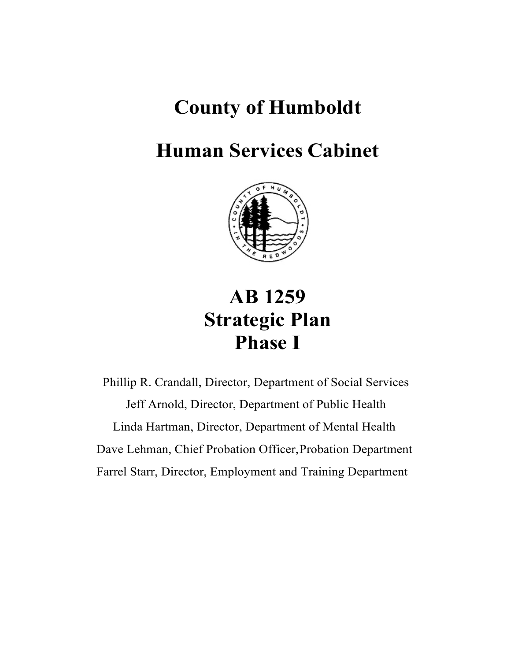# **County of Humboldt**

# **Human Services Cabinet**



# **AB 1259 Strategic Plan Phase I**

Phillip R. Crandall, Director, Department of Social Services Jeff Arnold, Director, Department of Public Health Linda Hartman, Director, Department of Mental Health Dave Lehman, Chief Probation Officer,Probation Department Farrel Starr, Director, Employment and Training Department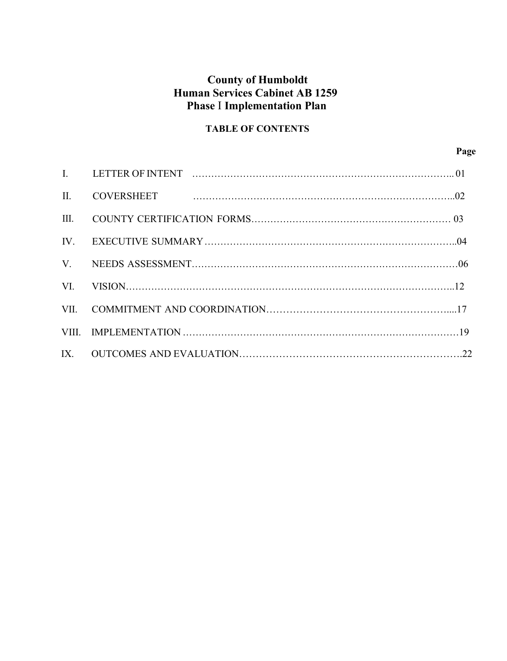# **Human Services Cabinet AB 1259 County of Humboldt Phase** I **Implementation Plan**

# **TABLE OF CONTENTS**

**Page** 

| $\Pi$ . |  |
|---------|--|
| III.    |  |
| IV.     |  |
|         |  |
| VI.     |  |
|         |  |
|         |  |
|         |  |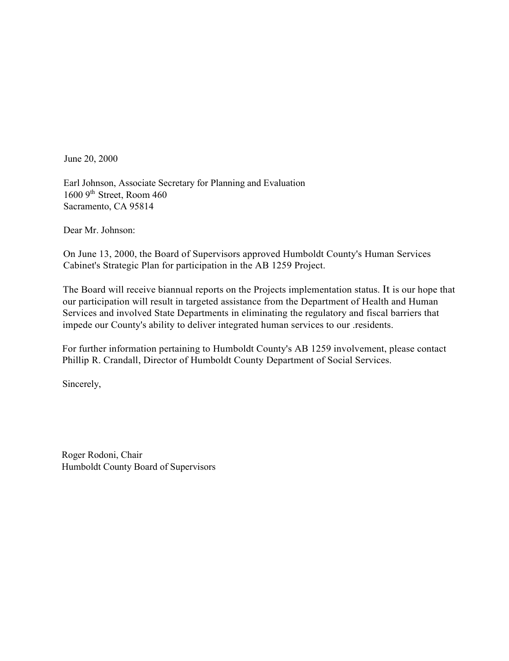June 20, 2000

 1600 9th Street, Room 460 Earl Johnson, Associate Secretary for Planning and Evaluation Sacramento, CA 95814

Dear Mr. Johnson:

 On June 13, 2000, the Board of Supervisors approved Humboldt County's Human Services Cabinet's Strategic Plan for participation in the AB 1259 Project.

 The Board will receive biannual reports on the Projects implementation status. It is our hope that our participation will result in targeted assistance from the Department of Health and Human Services and involved State Departments in eliminating the regulatory and fiscal barriers that impede our County's ability to deliver integrated human services to our .residents.

 For further information pertaining to Humboldt County's AB 1259 involvement, please contact Phillip R. Crandall, Director of Humboldt County Department of Social Services.

Sincerely,

Roger Rodoni, Chair Humboldt County Board of Supervisors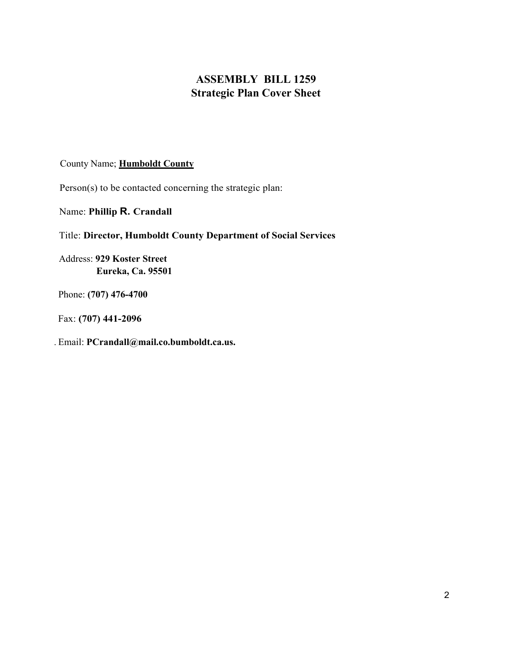# **ASSEMBLY BILL 1259 Strategic Plan Cover Sheet**

#### County Name; **Humboldt County**

Person(s) to be contacted concerning the strategic plan:

Name: **Phillip R. Crandall** 

### Title: **Director, Humboldt County Department of Social Services**

Address: **929 Koster Street Eureka, Ca. 95501** 

Phone: **(707) 476-4700** 

Fax: **(707) 441-2096** 

. Email: **[PCrandall@mail.co.bumboldt.ca.us.](mailto:PCrandall@mail.co.bumboldt.ca.us)**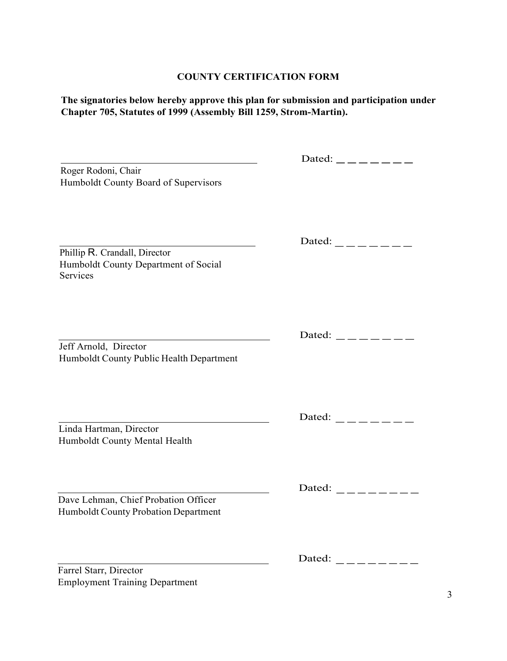#### **COUNTY CERTIFICATION FORM**

**The signatories below hereby approve this plan for submission and participation under Chapter 705, Statutes of 1999 (Assembly Bill 1259, Strom-Martin).** 

| Roger Rodoni, Chair<br>Humboldt County Board of Supervisors                       | Dated: $\_\_$ $\_\_$ $\_\_$ |
|-----------------------------------------------------------------------------------|-----------------------------|
| Phillip R. Crandall, Director<br>Humboldt County Department of Social<br>Services | Dated: $\_\_$ $\_\_$        |
| Jeff Arnold, Director<br>Humboldt County Public Health Department                 | Dated: $\_\_$ $\_\_$        |
| Linda Hartman, Director<br>Humboldt County Mental Health                          | Dated: $\_\_$ $\_\_$        |

 Humboldt County Probation Department Dave Lehman, Chief Probation Officer

Farrel Starr, Director Employment Training Department Dated:  $\frac{1}{1}$  -------

Dated:  $\frac{1}{2}$  -------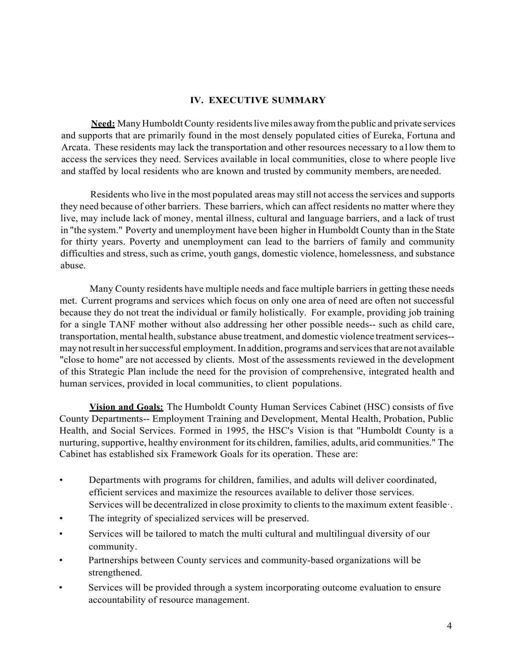#### **IV. EXECUTIVE SUMMARY**

 **Need:** Many Humboldt County residents live miles away from the public and private services and supports that are primarily found in the most densely populated cities of Eureka, Fortuna and Arcata. These residents may lack the transportation and other resources necessary to a1low them to access the services they need. Services available in local communities, close to where people live and staffed by local residents who are known and trusted by community members, are needed.

 Residents who live in the most populated areas may still not access the services and supports they need because of other barriers. These barriers, which can affect residents no matter where they live, may include lack of money, mental illness, cultural and language barriers, and a lack of trust in "the system." Poverty and unemployment have been higher in Humboldt County than in the State for thirty years. Poverty and unemployment can lead to the barriers of family and community difficulties and stress, such as crime, youth gangs, domestic violence, homelessness, and substance abuse.

 Many County residents have multiple needs and face multiple barriers in getting these needs met. Current programs and services which focus on only one area of need are often not successful because they do not treat the individual or family holistically. For example, providing job training for a single TANF mother without also addressing her other possible needs-- such as child care, transportation, mental health, substance abuse treatment, and domestic violence treatment services-- may not result in her successful employment. In addition, programs and services that arenot available "close to home" are not accessed by clients. Most of the assessments reviewed in the development of this Strategic Plan include the need for the provision of comprehensive, integrated health and human services, provided in local communities, to client populations.

 **Vision and Goals:** The Humboldt County Human Services Cabinet (HSC) consists of five County Departments-- Employment Training and Development, Mental Health, Probation, Public Health, and Social Services. Formed in 1995, the HSC's Vision is that "Humboldt County is a nurturing, supportive, healthy environment for its children, families, adults, arid communities." The Cabinet has established six Framework Goals for its operation. These are:

- • Departments with programs for children, families, and adults will deliver coordinated, Services will be decentralized in close proximity to clients to the maximum extent feasible·. efficient services and maximize the resources available to deliver those services.
- The integrity of specialized services will be preserved.
- Services will be tailored to match the multi cultural and multilingual diversity of our community.
- • Partnerships between County services and community-based organizations will be strengthened.
- • Services will be provided through a system incorporating outcome evaluation to ensure accountability of resource management.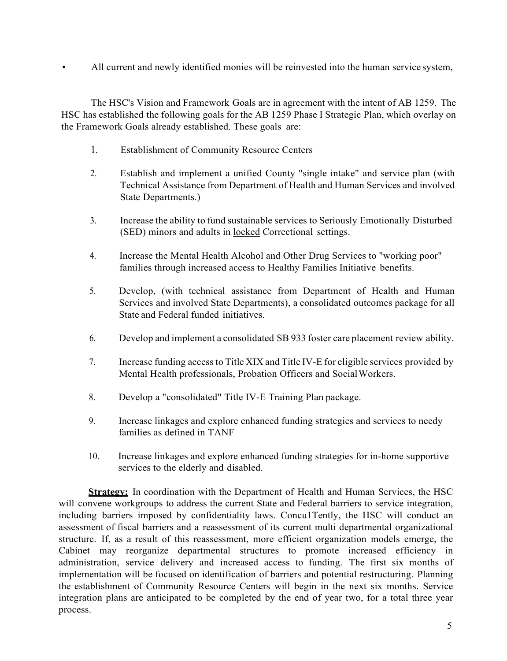• All current and newly identified monies will be reinvested into the human service system,

 The HSC's Vision and Framework Goals are in agreement with the intent of AB 1259. The HSC has established the following goals for the AB 1259 Phase I Strategic Plan, which overlay on the Framework Goals already established. These goals are:

- 1. Establishment of Community Resource Centers
- Technical Assistance from Department of Health and Human Services and involved 2. Establish and implement a unified County "single intake" and service plan (with State Departments.)
- 3. Increase the ability to fund sustainable services to Seriously Emotionally Disturbed (SED) minors and adults in locked Correctional settings.
- 4. Increase the Mental Health Alcohol and Other Drug Services to "working poor" families through increased access to Healthy Families Initiative benefits.
- 5. Develop, (with technical assistance from Department of Health and Human Services and involved State Departments), a consolidated outcomes package for all State and Federal funded initiatives.
- 6. Develop and implement a consolidated SB 933 foster care placement review ability.
- 7. Increase funding access to Title XIX and Title IV-E for eligible services provided by Mental Health professionals, Probation Officers and SocialWorkers.
- 8. Develop a "consolidated" Title IV-E Training Plan package.
- 9. Increase linkages and explore enhanced funding strategies and services to needy families as defined in TANF
- 10. Increase linkages and explore enhanced funding strategies for in-home supportive services to the elderly and disabled.

Strategy: In coordination with the Department of Health and Human Services, the HSC will convene workgroups to address the current State and Federal barriers to service integration, including barriers imposed by confidentiality laws. Concu1Tently, the HSC will conduct an assessment of fiscal barriers and a reassessment of its current multi departmental organizational structure. If, as a result of this reassessment, more efficient organization models emerge, the administration, service delivery and increased access to funding. The first six months of implementation will be focused on identification of barriers and potential restructuring. Planning the establishment of Community Resource Centers will begin in the next six months. Service Cabinet may reorganize departmental structures to promote increased efficiency in integration plans are anticipated to be completed by the end of year two, for a total three year process.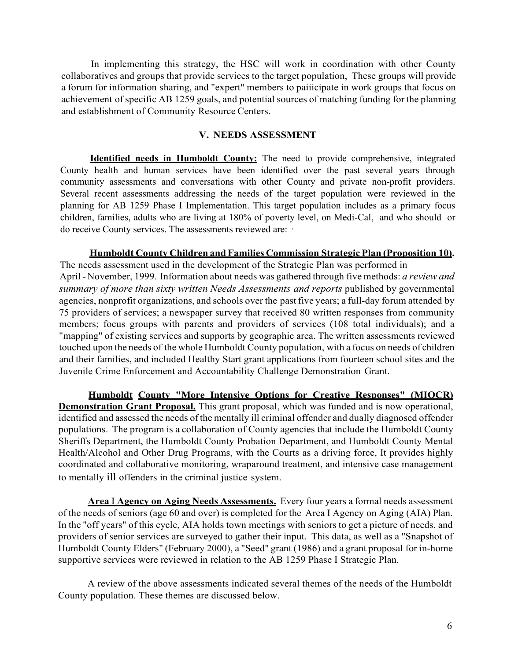In implementing this strategy, the HSC will work in coordination with other County collaboratives and groups that provide services to the target population, These groups will provide a forum for information sharing, and "expert" members to paiiicipate in work groups that focus on achievement of specific AB 1259 goals, and potential sources of matching funding for the planning and establishment of Community Resource Centers.

#### **V. NEEDS ASSESSMENT**

<span id="page-7-0"></span> County health and human services have been identified over the past several years through community assessments and conversations with other County and private non-profit providers. planning for AB 1259 Phase I Implementation. This target population includes as a primary focus do receive County services. The assessments reviewed are: · **Identified needs in Humboldt County:** The need to provide comprehensive, integrated Several recent assessments addressing the needs of the target population were reviewed in the children, families, adults who are living at 180% of poverty level, on Medi-Cal, and who should or

#### **Humboldt County Children and Families Commission Strategic Plan (Proposition 10).**

 April - November, 1999. Information about needs was gathered through five methods: *a review and*  summary of more than sixty written Needs Assessments and reports published by governmental agencies, nonprofit organizations, and schools over the past five years; a full-day forum attended by 75 providers of services; a newspaper survey that received 80 written responses from community members; focus groups with parents and providers of services (108 total individuals); and a "mapping" of existing services and supports by geographic area. The written assessments reviewed touched upon the needs of the whole Humboldt County population, with a focus on needs of children and their families, and included Healthy Start grant applications from fourteen school sites and the The needs assessment used in the development of the Strategic Plan was performed in Juvenile Crime Enforcement and Accountability Challenge Demonstration Grant.

 **Demonstration Grant Proposal.** This grant proposal, which was funded and is now operational, identified and assessed the needs of the mentally ill criminal offender and dually diagnosed offender populations. The program is a collaboration of County agencies that include the Humboldt County Health/Alcohol and Other Drug Programs, with the Courts as a driving force, It provides highly to mentally ill offenders in the criminal justice system. **Humboldt County "More Intensive Options for Creative Responses" (MIOCR)**  Sheriffs Department, the Humboldt County Probation Department, and Humboldt County Mental coordinated and collaborative monitoring, wraparound treatment, and intensive case management

 **Area** I **Agency on Aging Needs Assessments.** Every four years a formal needs assessment of the needs of seniors (age 60 and over) is completed for the Area I Agency on Aging (AIA) Plan. In the "off years" of this cycle, AIA holds town meetings with seniors to get a picture of needs, and providers of senior services are surveyed to gather their input. This data, as well as a "Snapshot of Humboldt County Elders" (February 2000), a "Seed" grant (1986) and a grant proposal for in-home supportive services were reviewed in relation to the AB 1259 Phase I Strategic Plan.

 A review of the above assessments indicated several themes of the needs of the Humboldt County population. These themes are discussed below.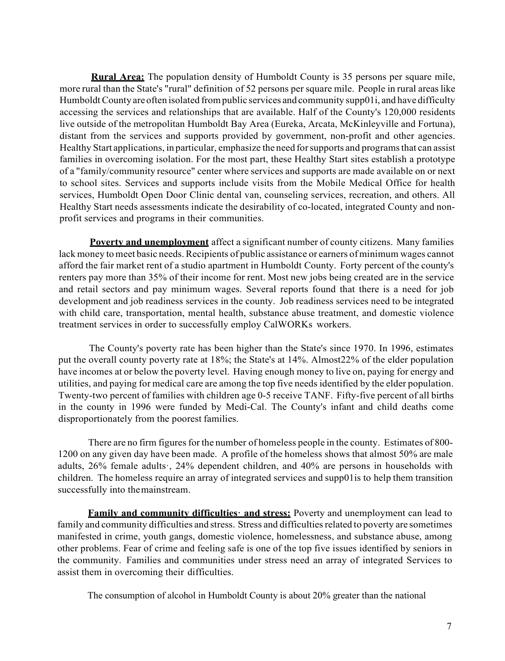**Rural Area:** The population density of Humboldt County is 35 persons per square mile, more rural than the State's "rural" definition of 52 persons per square mile. People in rural areas like Humboldt County areoften isolated from public services and community supp01i, and have difficulty accessing the services and relationships that are available. Half of the County's 120,000 residents live outside of the metropolitan Humboldt Bay Area (Eureka, Arcata, McKinleyville and Fortuna), distant from the services and supports provided by government, non-profit and other agencies. Healthy Start applications, in particular, emphasize the need for supports and programs that can assist families in overcoming isolation. For the most part, these Healthy Start sites establish a prototype of a "family/community resource" center where services and supports are made available on or next to school sites. Services and supports include visits from the Mobile Medical Office for health services, Humboldt Open Door Clinic dental van, counseling services, recreation, and others. All Healthy Start needs assessments indicate the desirability of co-located, integrated County and non-profit services and programs in their communities.

 **Poverty and unemployment** affect a significant number of county citizens. Many families lack money to meet basic needs. Recipients of public assistance or earners of minimum wages cannot afford the fair market rent of a studio apartment in Humboldt County. Forty percent of the county's renters pay more than 35% of their income for rent. Most new jobs being created are in the service development and job readiness services in the county. Job readiness services need to be integrated and retail sectors and pay minimum wages. Several reports found that there is a need for job with child care, transportation, mental health, substance abuse treatment, and domestic violence treatment services in order to successfully employ CalWORKs workers.

 The County's poverty rate has been higher than the State's since 1970. In 1996, estimates put the overall county poverty rate at 18%; the State's at 14%. Almost22% of the elder population have incomes at or below the poverty level. Having enough money to live on, paying for energy and utilities, and paying for medical care are among the top five needs identified by the elder population. Twenty-two percent of families with children age 0-5 receive TANF. Fifty-five percent of all births in the county in 1996 were funded by Medi-Cal. The County's infant and child deaths come disproportionately from the poorest families.

 There are no firm figures for the number of homeless people in the county. Estimates of 800- 1200 on any given day have been made. A profile of the homeless shows that almost 50% are male adults, 26% female adults·, 24% dependent children, and 40% are persons in households with children. The homeless require an array of integrated services and supp01is to help them transition successfully into themainstream.

 **Family and community difficulties· and stress:** Poverty and unemployment can lead to family and community difficulties and stress. Stress and difficulties related to poverty are sometimes manifested in crime, youth gangs, domestic violence, homelessness, and substance abuse, among other problems. Fear of crime and feeling safe is one of the top five issues identified by seniors in the community. Families and communities under stress need an array of integrated Services to assist them in overcoming their difficulties.

The consumption of alcohol in Humboldt County is about 20% greater than the national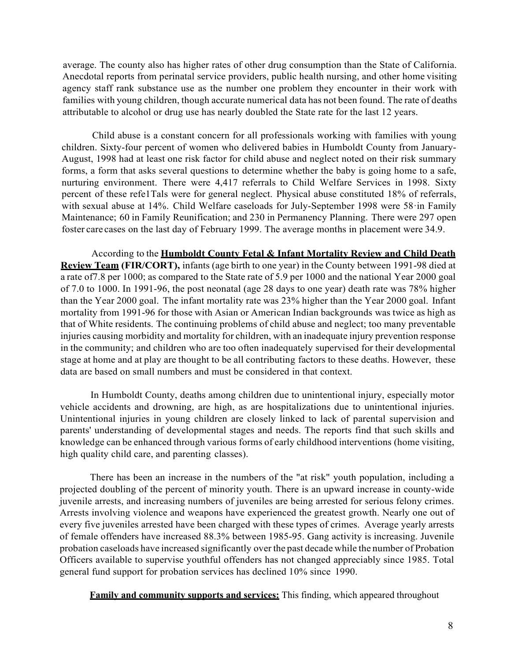average. The county also has higher rates of other drug consumption than the State of California. Anecdotal reports from perinatal service providers, public health nursing, and other home visiting agency staff rank substance use as the number one problem they encounter in their work with families with young children, though accurate numerical data has not been found. The rate of deaths attributable to alcohol or drug use has nearly doubled the State rate for the last 12 years.

 Child abuse is a constant concern for all professionals working with families with young children. Sixty-four percent of women who delivered babies in Humboldt County from January- August, 1998 had at least one risk factor for child abuse and neglect noted on their risk summary nurturing environment. There were 4,417 referrals to Child Welfare Services in 1998. Sixty percent of these refe1Tals were for general neglect. Physical abuse constituted 18% of referrals, with sexual abuse at 14%. Child Welfare caseloads for July-September 1998 were 58·in Family Maintenance; 60 in Family Reunification; and 230 in Permanency Planning. There were 297 open foster care cases on the last day of February 1999. The average months in placement were 34.9. forms, a form that asks several questions to determine whether the baby is going home to a safe,

 According to the **Humboldt County Fetal & Infant Mortality Review and Child Death Review Team (FIR/CORT),** infants (age birth to one year) in the County between 1991-98 died at a rate of7.8 per 1000; as compared to the State rate of 5.9 per 1000 and the national Year 2000 goal of 7.0 to 1000. In 1991-96, the post neonatal (age 28 days to one year) death rate was 78% higher than the Year 2000 goal. The infant mortality rate was 23% higher than the Year 2000 goal. Infant mortality from 1991-96 for those with Asian or American Indian backgrounds was twice as high as that of White residents. The continuing problems of child abuse and neglect; too many preventable injuries causing morbidity and mortality for children, with an inadequate injury prevention response in the community; and children who are too often inadequately supervised for their developmental stage at home and at play are thought to be all contributing factors to these deaths. However, these data are based on small numbers and must be considered in that context.

 vehicle accidents and drowning, are high, as are hospitalizations due to unintentional injuries. Unintentional injuries in young children are closely linked to lack of parental supervision and parents' understanding of developmental stages and needs. The reports find that such skills and knowledge can be enhanced through various forms of early childhood interventions (home visiting, In Humboldt County, deaths among children due to unintentional injury, especially motor high quality child care, and parenting classes).

 There has been an increase in the numbers of the "at risk" youth population, including a Arrests involving violence and weapons have experienced the greatest growth. Nearly one out of every five juveniles arrested have been charged with these types of crimes. Average yearly arrests probation caseloads have increased significantly over the past decade while the number of Probation Officers available to supervise youthful offenders has not changed appreciably since 1985. Total projected doubling of the percent of minority youth. There is an upward increase in county-wide juvenile arrests, and increasing numbers of juveniles are being arrested for serious felony crimes. of female offenders have increased 88.3% between 1985-95. Gang activity is increasing. Juvenile general fund support for probation services has declined 10% since 1990.

**Family and community supports and services:** This finding, which appeared throughout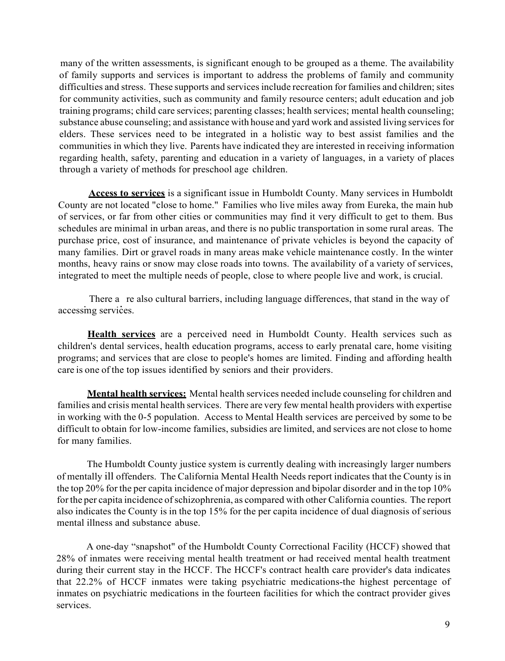many of the written assessments, is significant enough to be grouped as a theme. The availability of family supports and services is important to address the problems of family and community difficulties and stress. These supports and services include recreation for families and children; sites for community activities, such as community and family resource centers; adult education and job training programs; child care services; parenting classes; health services; mental health counseling; substance abuse counseling; and assistance with house and yard work and assisted living services for elders. These services need to be integrated in a holistic way to best assist families and the communities in which they live. Parents have indicated they are interested in receiving information regarding health, safety, parenting and education in a variety of languages, in a variety of places through a variety of methods for preschool age children.

 **Access to services** is a significant issue in Humboldt County. Many services in Humboldt County are not located "close to home." Families who live miles away from Eureka, the main hub of services, or far from other cities or communities may find it very difficult to get to them. Bus schedules are minimal in urban areas, and there is no public transportation in some rural areas. The purchase price, cost of insurance, and maintenance of private vehicles is beyond the capacity of many families. Dirt or gravel roads in many areas make vehicle maintenance costly. In the winter months, heavy rains or snow may close roads into towns. The availability of a variety of services, integrated to meet the multiple needs of people, close to where people live and work, is crucial.

There a re also cultural barriers, including language differences, that stand in the way of accessing services.

Health services are a perceived need in Humboldt County. Health services such as children's dental services, health education programs, access to early prenatal care, home visiting programs; and services that are close to people's homes are limited. Finding and affording health care is one of the top issues identified by seniors and their providers.

 **Mental health services:** Mental health services needed include counseling for children and families and crisis mental health services. There are very few mental health providers with expertise in working with the 0-5 population. Access to Mental Health services are perceived by some to be difficult to obtain for low-income families, subsidies are limited, and services are not close to home for many families.

 The Humboldt County justice system is currently dealing with increasingly larger numbers of mentally ill offenders. The California Mental Health Needs report indicates that the County is in the top 20% for the per capita incidence of major depression and bipolar disorder and in the top 10% for the per capita incidence of schizophrenia, as compared with other California counties. The report also indicates the County is in the top 15% for the per capita incidence of dual diagnosis of serious mental illness and substance abuse.

 A one-day "snapshot" of the Humboldt County Correctional Facility (HCCF) showed that 28% of inmates were receiving mental health treatment or had received mental health treatment during their current stay in the HCCF. The HCCF's contract health care provider's data indicates that 22.2% of HCCF inmates were taking psychiatric medications-the highest percentage of inmates on psychiatric medications in the fourteen facilities for which the contract provider gives services.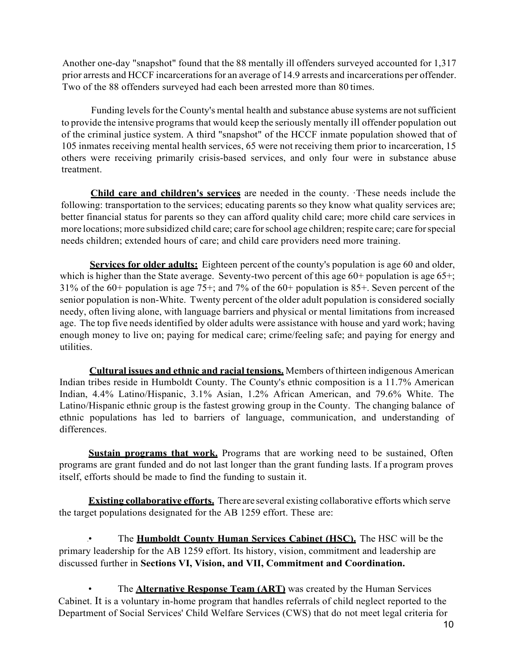Another one-day "snapshot" found that the 88 mentally ill offenders surveyed accounted for 1,317 prior arrests and HCCF incarcerations for an average of 14.9 arrests and incarcerations per offender. Two of the 88 offenders surveyed had each been arrested more than 80 times.

 Funding levels for the County's mental health and substance abuse systems are not sufficient to provide the intensive programs that would keep the seriously mentally ill offender population out of the criminal justice system. A third "snapshot" of the HCCF inmate population showed that of 105 inmates receiving mental health services, 65 were not receiving them prior to incarceration, 15 others were receiving primarily crisis-based services, and only four were in substance abuse treatment.

 following: transportation to the services; educating parents so they know what quality services are; better financial status for parents so they can afford quality child care; more child care services in more locations; more subsidized child care; care for school age children; respite care; care for special needs children; extended hours of care; and child care providers need more training. **Child care and children's services** are needed in the county. ·These needs include the

Services for older adults: Eighteen percent of the county's population is age 60 and older, which is higher than the State average. Seventy-two percent of this age 60+ population is age 65+; senior population is non-White. Twenty percent of the older adult population is considered socially needy, often living alone, with language barriers and physical or mental limitations from increased age. The top five needs identified by older adults were assistance with house and yard work; having 31% of the 60+ population is age 75+; and 7% of the 60+ population is 85+. Seven percent of the enough money to live on; paying for medical care; crime/feeling safe; and paying for energy and utilities.

 **Cultural issues and ethnic and racial tensions.** Members of thirteen indigenous American Indian tribes reside in Humboldt County. The County's ethnic composition is a 11.7% American Latino/Hispanic ethnic group is the fastest growing group in the County. The changing balance of ethnic populations has led to barriers of language, communication, and understanding of Indian, 4.4% Latino/Hispanic, 3.1% Asian, 1.2% African American, and 79.6% White. The differences.

 **Sustain programs that work.** Programs that are working need to be sustained, Often programs are grant funded and do not last longer than the grant funding lasts. If a program proves itself, efforts should be made to find the funding to sustain it.

 **Existing collaborative efforts.** There are several existing collaborative efforts which serve the target populations designated for the AB 1259 effort. These are:

 primary leadership for the AB 1259 effort. Its history, vision, commitment and leadership are .• The **Humboldt County Human Services Cabinet (HSC).** The HSC will be the discussed further in **Sections VI, Vision, and VII, Commitment and Coordination.** 

• The **Alternative Response Team (ART)** was created by the Human Services Department of Social Services' Child Welfare Services (CWS) that do not meet legal criteria for Cabinet. It is a voluntary in-home program that handles referrals of child neglect reported to the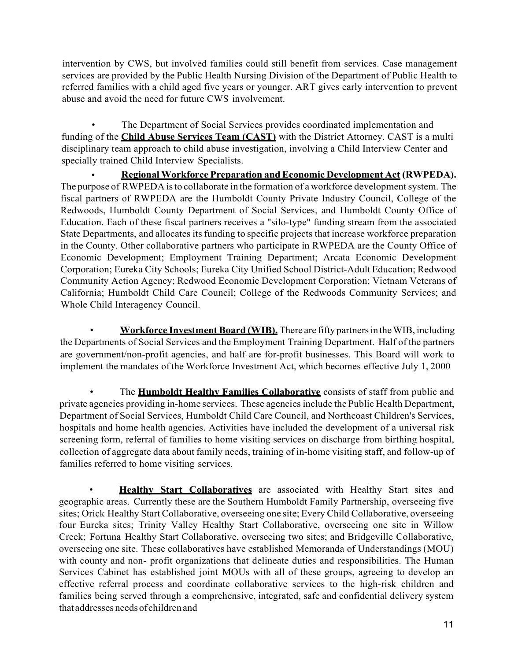intervention by CWS, but involved families could still benefit from services. Case management services are provided by the Public Health Nursing Division of the Department of Public Health to referred families with a child aged five years or younger. ART gives early intervention to prevent abuse and avoid the need for future CWS involvement.

 disciplinary team approach to child abuse investigation, involving a Child Interview Center and • The Department of Social Services provides coordinated implementation and funding of the **Child Abuse Services Team (CAST)** with the District Attorney. CAST is a multi specially trained Child Interview Specialists.

 • **Regional Workforce Preparation and Economic Development Act (RWPEDA).**  The purpose of RWPEDA is to collaborate in the formation of a workforce development system. The fiscal partners of RWPEDA are the Humboldt County Private Industry Council, College of the Redwoods, Humboldt County Department of Social Services, and Humboldt County Office of State Departments, and allocates its funding to specific projects that increase workforce preparation in the County. Other collaborative partners who participate in RWPEDA are the County Office of Corporation; Eureka City Schools; Eureka City Unified School District-Adult Education; Redwood Community Action Agency; Redwood Economic Development Corporation; Vietnam Veterans of California; Humboldt Child Care Council; College of the Redwoods Community Services; and Education. Each of these fiscal partners receives a "silo-type" funding stream from the associated Economic Development; Employment Training Department; Arcata Economic Development Whole Child Interagency Council.

**• Workforce Investment Board (WIB).** There are fifty partners in the WIB, including the Departments of Social Services and the Employment Training Department. Half of the partners are government/non-profit agencies, and half are for-profit businesses. This Board will work to implement the mandates of the Workforce Investment Act, which becomes effective July 1, 2000

 • The **Humboldt Healthy Families Collaborative** consists of staff from public and private agencies providing in-home services. These agencies include the Public Health Department, Department of Social Services, Humboldt Child Care Council, and Northcoast Children's Services, hospitals and home health agencies. Activities have included the development of a universal risk screening form, referral of families to home visiting services on discharge from birthing hospital, collection of aggregate data about family needs, training of in-home visiting staff, and follow-up of families referred to home visiting services.

**• Healthy Start Collaboratives** are associated with Healthy Start sites and geographic areas. Currently these are the Southern Humboldt Family Partnership, overseeing five sites; Orick Healthy Start Collaborative, overseeing one site; Every Child Collaborative, overseeing four Eureka sites; Trinity Valley Healthy Start Collaborative, overseeing one site in Willow Creek; Fortuna Healthy Start Collaborative, overseeing two sites; and Bridgeville Collaborative, overseeing one site. These collaboratives have established Memoranda of Understandings (MOU) with county and non- profit organizations that delineate duties and responsibilities. The Human Services Cabinet has established joint MOUs with all of these groups, agreeing to develop an effective referral process and coordinate collaborative services to the high-risk children and families being served through a comprehensive, integrated, safe and confidential delivery system thataddresses needsofchildren and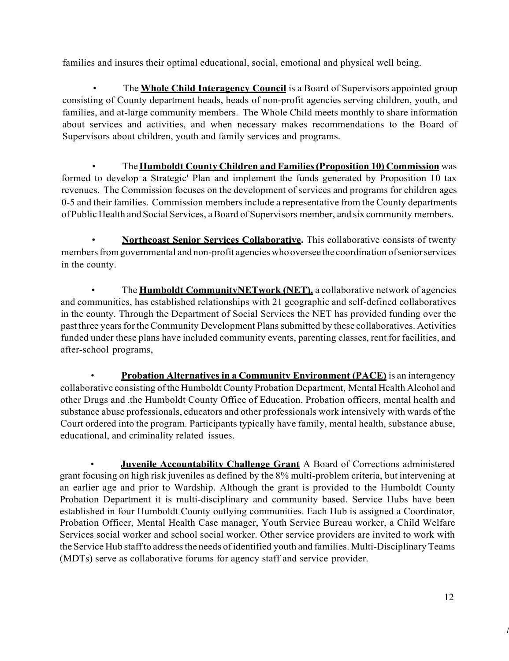families and insures their optimal educational, social, emotional and physical well being.

 consisting of County department heads, heads of non-profit agencies serving children, youth, and families, and at-large community members. The Whole Child meets monthly to share information about services and activities, and when necessary makes recommendations to the Board of Supervisors about children, youth and family services and programs. • The **Whole Child Interagency Council** is a Board of Supervisors appointed group

 $\bullet$  formed to develop a Strategic' Plan and implement the funds generated by Proposition 10 tax revenues. The Commission focuses on the development of services and programs for children ages 0-5 and their families. Commission members include a representative from the County departments of Public Health and Social Services, a Board of Supervisors member, and six community members. • The **Humboldt County Children and Families (Proposition 10) Commission** was

members from governmental and non-profit agencies who oversee the coordination of senior services **Northcoast Senior Services Collaborative.** This collaborative consists of twenty in the county.

 and communities, has established relationships with 21 geographic and self-defined collaboratives in the county. Through the Department of Social Services the NET has provided funding over the past three years for the Community Development Plans submitted by these collaboratives. Activities funded under these plans have included community events, parenting classes, rent for facilities, and • The **Humboldt CommunityNETwork (NET).** a collaborative network of agencies after-school programs,

**• Probation Alternatives in a Community Environment (PACE)** is an interagency collaborative consisting of the Humboldt County Probation Department, Mental Health Alcohol and other Drugs and .the Humboldt County Office of Education. Probation officers, mental health and substance abuse professionals, educators and other professionals work intensively with wards of the Court ordered into the program. Participants typically have family, mental health, substance abuse, educational, and criminality related issues.

 • **Juvenile Accountability Challenge Grant** A Board of Corrections administered grant focusing on high risk juveniles as defined by the 8% multi-problem criteria, but intervening at an earlier age and prior to Wardship. Although the grant is provided to the Humboldt County Probation Department it is multi-disciplinary and community based. Service Hubs have been established in four Humboldt County outlying communities. Each Hub is assigned a Coordinator, Services social worker and school social worker. Other service providers are invited to work with the Service Hub staff to address the needs of identified youth and families. Multi-Disciplinary Teams Probation Officer, Mental Health Case manager, Youth Service Bureau worker, a Child Welfare (MDTs) serve as collaborative forums for agency staff and service provider.

*I*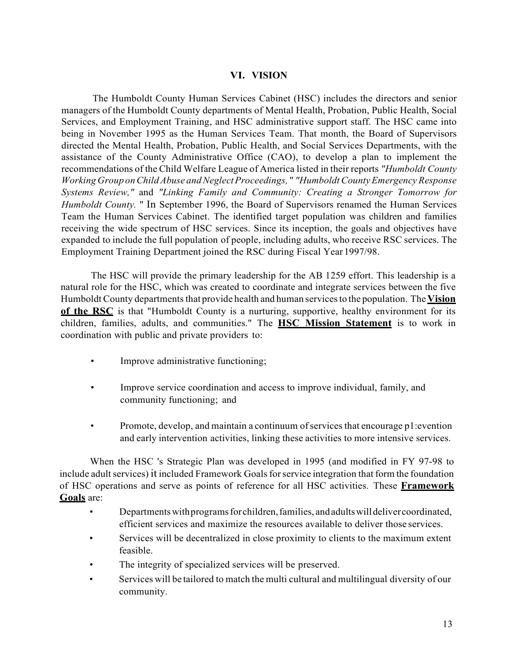#### **VI. VISION**

<span id="page-14-0"></span> The Humboldt County Human Services Cabinet (HSC) includes the directors and senior managers of the Humboldt County departments of Mental Health, Probation, Public Health, Social Services, and Employment Training, and HSC administrative support staff. The HSC came into being in November 1995 as the Human Services Team. That month, the Board of Supervisors directed the Mental Health, Probation, Public Health, and Social Services Departments, with the assistance of the County Administrative Office (CAO), to develop a plan to implement the recommendations of the Child Welfare League of America listed in their reports *"Humboldt County Working Group on Child Abuse and Neglect Proceedings,* " *"Humboldt County Emergency Response Systems Review,"* and *"Linking Family and Community: Creating a Stronger Tomorrow for Humboldt County.* " In September 1996, the Board of Supervisors renamed the Human Services Team the Human Services Cabinet. The identified target population was children and families receiving the wide spectrum of HSC services. Since its inception, the goals and objectives have expanded to include the full population of people, including adults, who receive RSC services. The Employment Training Department joined the RSC during Fiscal Year 1997/98.

 The HSC will provide the primary leadership for the AB 1259 effort. This leadership is a natural role for the HSC, which was created to coordinate and integrate services between the five Humboldt County departments that provide health and human services to the population. The **Vision**  children, families, adults, and communities." The **HSC Mission Statement** is to work in **of the RSC** is that "Humboldt County is a nurturing, supportive, healthy environment for its coordination with public and private providers to:

- Improve administrative functioning;
- $\bullet$ • Improve service coordination and access to improve individual, family, and community functioning; and
- Promote, develop, and maintain a continuum of services that encourage p1: evention and early intervention activities, linking these activities to more intensive services.

 When the HSC 's Strategic Plan was developed in 1995 (and modified in FY 97-98 to include adult services) it included Framework Goals for service integration that form the foundation of HSC operations and serve as points of reference for all HSC activities. These **Framework Goals** are:

- Departments with programs for children, families, and adults will deliver coordinated, efficient services and maximize the resources available to deliver those services.
- $\bullet$ Services will be decentralized in close proximity to clients to the maximum extent feasible.
- The integrity of specialized services will be preserved.
- • Services will be tailored to match the multi cultural and multilingual diversity of our community.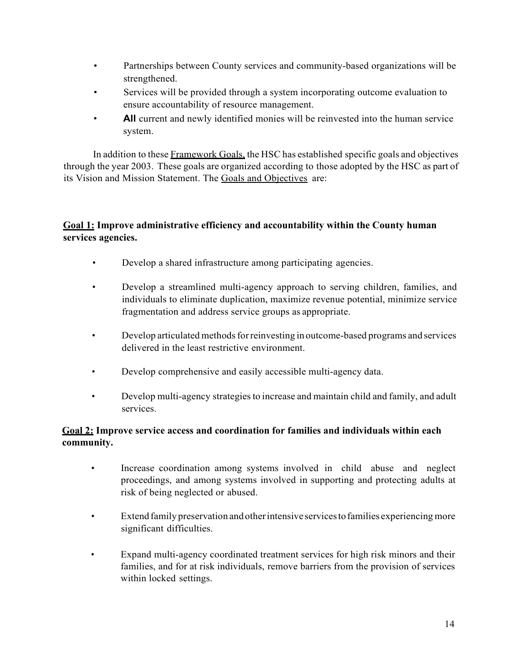- Partnerships between County services and community-based organizations will be strengthened.
- Services will be provided through a system incorporating outcome evaluation to ensure accountability of resource management.
- • **All** current and newly identified monies will be reinvested into the human service system.

In addition to these Framework Goals, the HSC has established specific goals and objectives through the year 2003. These goals are organized according to those adopted by the HSC as part of its Vision and Mission Statement. The Goals and Objectives are:

# **Goal 1: Improve administrative efficiency and accountability within the County human services agencies.**

- Develop a shared infrastructure among participating agencies.
- • Develop a streamlined multi-agency approach to serving children, families, and individuals to eliminate duplication, maximize revenue potential, minimize service fragmentation and address service groups as appropriate.
- • Develop articulated methods for reinvesting in outcome-based programs and services delivered in the least restrictive environment.
- Develop comprehensive and easily accessible multi-agency data.
- • Develop multi-agency strategies to increase and maintain child and family, and adult services.

# **Goal 2: Improve service access and coordination for families and individuals within each community.**

- • Increase coordination among systems involved in child abuse and neglect proceedings, and among systems involved in supporting and protecting adults at risk of being neglected or abused.
- • Extend family preservation and otherintensive servicestofamilies experiencing more significant difficulties.
- • Expand multi-agency coordinated treatment services for high risk minors and their families, and for at risk individuals, remove barriers from the provision of services within locked settings.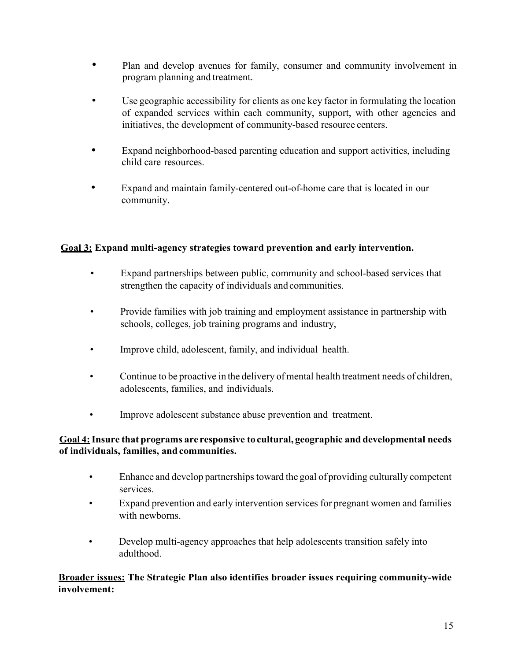- program planning and treatment. • Plan and develop avenues for family, consumer and community involvement in
- • Use geographic accessibility for clients as one key factor in formulating the location initiatives, the development of community-based resource centers. of expanded services within each community, support, with other agencies and
- Expand neighborhood-based parenting education and support activities, including child care resources.
- • Expand and maintain family-centered out-of-home care that is located in our community.

# **Goal 3: Expand multi-agency strategies toward prevention and early intervention.**

- Expand partnerships between public, community and school-based services that strengthen the capacity of individuals and communities.
- schools, colleges, job training programs and industry, • Provide families with job training and employment assistance in partnership with
- Improve child, adolescent, family, and individual health.
- • Continue to be proactive in the delivery of mental health treatment needs of children, adolescents, families, and individuals.
- Improve adolescent substance abuse prevention and treatment.

# **Goal 4: Insure that programs are responsive to cultural, geographic and developmental needs of individuals, families, andcommunities.**

- • Enhance and develop partnerships toward the goal of providing culturally competent services.
- • Expand prevention and early intervention services for pregnant women and families with newborns.
- Develop multi-agency approaches that help adolescents transition safely into adulthood.

#### **Broader issues: The Strategic Plan also identifies broader issues requiring community-wide involvement:**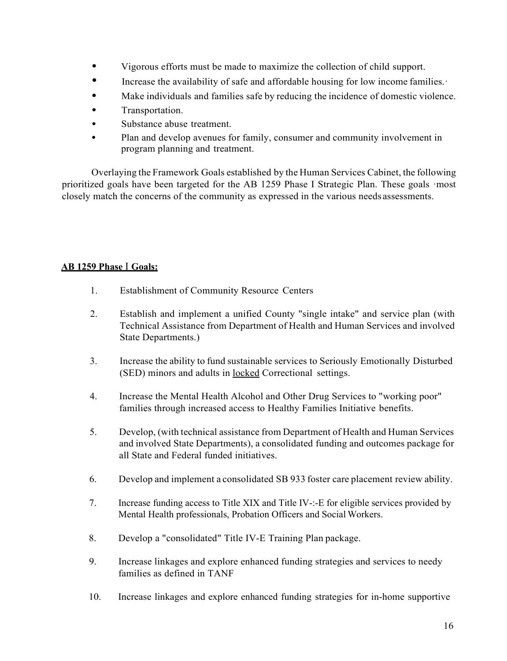- Vigorous efforts must be made to maximize the collection of child support.
- Increase the availability of safe and affordable housing for low income families.·
- Make individuals and families safe by reducing the incidence of domestic violence.
- Transportation.
- Substance abuse treatment.
- • Plan and develop avenues for family, consumer and community involvement in program planning and treatment.

 Overlaying the Framework Goals established by the Human Services Cabinet, the following prioritized goals have been targeted for the AB 1259 Phase I Strategic Plan. These goals ·most closely match the concerns of the community as expressed in the various needs assessments.

# **AB 1259 Phase** I **Goals:**

- 1. Establishment of Community Resource Centers
- 2. Establish and implement a unified County "single intake" and service plan (with Technical Assistance from Department of Health and Human Services and involved State Departments.)
- 3. Increase the ability to fund sustainable services to Seriously Emotionally Disturbed (SED) minors and adults in locked Correctional settings.
- 4. Increase the Mental Health Alcohol and Other Drug Services to "working poor" families through increased access to Healthy Families Initiative benefits.
- 5. Develop, (with technical assistance from Department of Health and Human Services and involved State Departments), a consolidated funding and outcomes package for all State and Federal funded initiatives.
- 6. Develop and implement a consolidated SB 933 foster care placement review ability.
- Mental Health professionals, Probation Officers and Social Workers. 7. Increase funding access to Title XIX and Title IV-:-E for eligible services provided by
- 8. Develop a "consolidated" Title IV-E Training Plan package.
- 9. Increase linkages and explore enhanced funding strategies and services to needy families as defined in TANF
- $10<sub>i</sub>$ Increase linkages and explore enhanced funding strategies for in-home supportive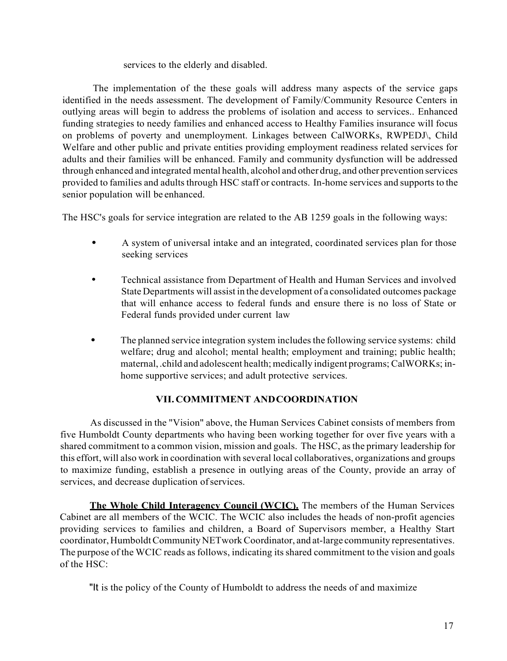#### services to the elderly and disabled.

 The implementation of the these goals will address many aspects of the service gaps outlying areas will begin to address the problems of isolation and access to services.. Enhanced funding strategies to needy families and enhanced access to Healthy Families insurance will focus on problems of poverty and unemployment. Linkages between CalWORKs, RWPEDJ\, Child Welfare and other public and private entities providing employment readiness related services for adults and their families will be enhanced. Family and community dysfunction will be addressed through enhanced and integrated mental health, alcohol and other drug, and other prevention services provided to families and adults through HSC staff or contracts. In-home services and supports to the identified in the needs assessment. The development of Family/Community Resource Centers in senior population will be enhanced.

The HSC's goals for service integration are related to the AB 1259 goals in the following ways:

- • A system of universal intake and an integrated, coordinated services plan for those seeking services
- • Technical assistance from Department of Health and Human Services and involved State Departments will assist in the development of a consolidated outcomes package that will enhance access to federal funds and ensure there is no loss of State or Federal funds provided under current law
- • The planned service integration system includes the following service systems: child welfare; drug and alcohol; mental health; employment and training; public health; maternal,.child and adolescent health; medically indigent programs; CalWORKs; inhome supportive services; and adult protective services.

# **VII. COMMITMENT ANDCOORDINATION**

<span id="page-18-0"></span> As discussed in the "Vision" above, the Human Services Cabinet consists of members from five Humboldt County departments who having been working together for over five years with a shared commitment to a common vision, mission and goals. The HSC, as the primary leadership for this effort, will also work in coordination with several local collaboratives, organizations and groups to maximize funding, establish a presence in outlying areas of the County, provide an array of services, and decrease duplication of services.

 Cabinet are all members of the WCIC. The WCIC also includes the heads of non-profit agencies providing services to families and children, a Board of Supervisors member, a Healthy Start coordinator, Humboldt Community NETwork Coordinator, and at-large community representatives. The purpose of the WCIC reads as follows, indicating its shared commitment to the vision and goals of the HSC: **The Whole Child Interagency Council (WCIC).** The members of the Human Services

"It is the policy of the County of Humboldt to address the needs of and maximize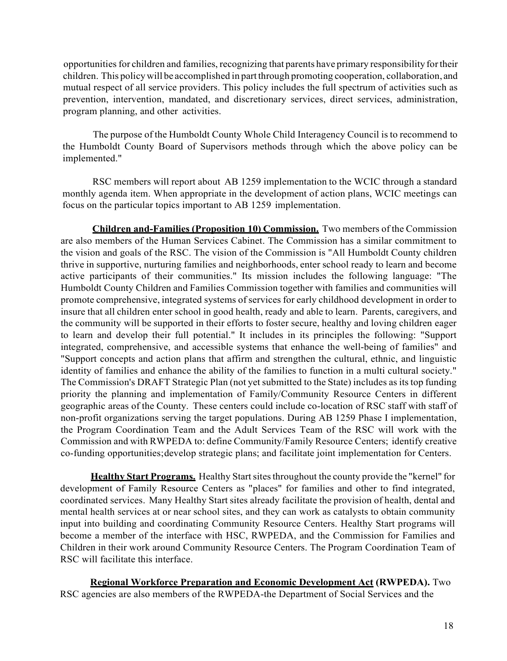opportunities for children and families, recognizing that parents have primary responsibility for their children. This policy will be accomplished in part through promoting cooperation, collaboration, and mutual respect of all service providers. This policy includes the full spectrum of activities such as prevention, intervention, mandated, and discretionary services, direct services, administration, program planning, and other activities.

 The purpose of the Humboldt County Whole Child Interagency Council is to recommend to the Humboldt County Board of Supervisors methods through which the above policy can be implemented."

 RSC members will report about AB 1259 implementation to the WCIC through a standard monthly agenda item. When appropriate in the development of action plans, WCIC meetings can focus on the particular topics important to AB 1259 implementation.

 **Children and-Families (Proposition 10) Commission.** Two members of the Commission are also members of the Human Services Cabinet. The Commission has a similar commitment to the vision and goals of the RSC. The vision of the Commission is "All Humboldt County children thrive in supportive, nurturing families and neighborhoods, enter school ready to learn and become Humboldt County Children and Families Commission together with families and communities will promote comprehensive, integrated systems of services for early childhood development in order to insure that all children enter school in good health, ready and able to learn. Parents, caregivers, and the community will be supported in their efforts to foster secure, healthy and loving children eager to learn and develop their full potential." It includes in its principles the following: "Support integrated, comprehensive, and accessible systems that enhance the well-being of families" and "Support concepts and action plans that affirm and strengthen the cultural, ethnic, and linguistic identity of families and enhance the ability of the families to function in a multi cultural society." The Commission's DRAFT Strategic Plan (not yet submitted to the State) includes as its top funding priority the planning and implementation of Family/Community Resource Centers in different geographic areas of the County. These centers could include co-location of RSC staff with staff of non-profit organizations serving the target populations. During AB 1259 Phase I implementation, the Program Coordination Team and the Adult Services Team of the RSC will work with the Commission and with RWPEDA to: define Community/Family Resource Centers; identify creative co-funding opportunities;develop strategic plans; and facilitate joint implementation for Centers. active participants of their communities." Its mission includes the following language: "The

 **Healthy Start Programs.** Healthy Start sites throughout the county provide the "kernel" for development of Family Resource Centers as "places" for families and other to find integrated, coordinated services. Many Healthy Start sites already facilitate the provision of health, dental and mental health services at or near school sites, and they can work as catalysts to obtain community become a member of the interface with HSC, RWPEDA, and the Commission for Families and Children in their work around Community Resource Centers. The Program Coordination Team of input into building and coordinating Community Resource Centers. Healthy Start programs will RSC will facilitate this interface.

**Regional Workforce Preparation and Economic Development Act (RWPEDA).** Two RSC agencies are also members of the RWPEDA-the Department of Social Services and the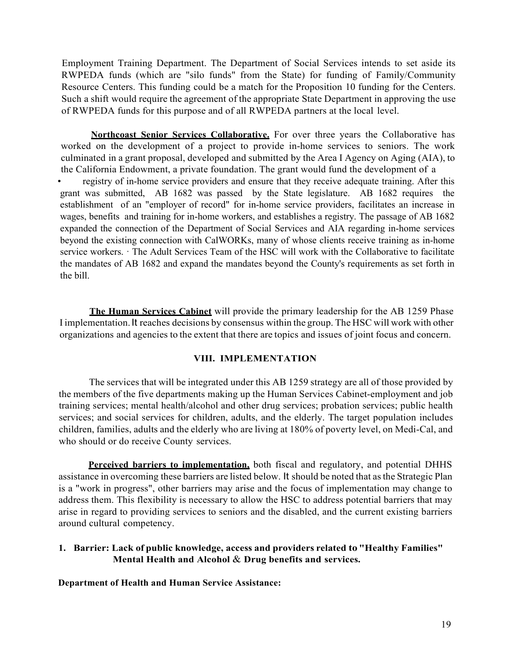Employment Training Department. The Department of Social Services intends to set aside its RWPEDA funds (which are "silo funds" from the State) for funding of Family/Community Resource Centers. This funding could be a match for the Proposition 10 funding for the Centers. Such a shift would require the agreement of the appropriate State Department in approving the use of RWPEDA funds for this purpose and of all RWPEDA partners at the local level.

 worked on the development of a project to provide in-home services to seniors. The work culminated in a grant proposal, developed and submitted by the Area I Agency on Aging (AIA), to the California Endowment, a private foundation. The grant would fund the development of a **Northcoast Senior Services Collaborative.** For over three years the Collaborative has

 grant was submitted, AB 1682 was passed by the State legislature. AB 1682 requires the establishment of an "employer of record" for in-home service providers, facilitates an increase in beyond the existing connection with CalWORKs, many of whose clients receive training as in-home registry of in-home service providers and ensure that they receive adequate training. After this wages, benefits and training for in-home workers, and establishes a registry. The passage of AB 1682 expanded the connection of the Department of Social Services and AIA regarding in-home services service workers. · The Adult Services Team of the HSC will work with the Collaborative to facilitate the mandates of AB 1682 and expand the mandates beyond the County's requirements as set forth in the bill.

 I implementation. It reaches decisions by consensus within the group. The HSC will work with other organizations and agencies to the extent that there are topics and issues of joint focus and concern. **The Human Services Cabinet** will provide the primary leadership for the AB 1259 Phase

#### **VIII. IMPLEMENTATION**

 The services that will be integrated under this AB 1259 strategy are all of those provided by the members of the five departments making up the Human Services Cabinet-employment and job training services; mental health/alcohol and other drug services; probation services; public health services; and social services for children, adults, and the elderly. The target population includes children, families, adults and the elderly who are living at 180% of poverty level, on Medi-Cal, and who should or do receive County services.

 assistance in overcoming these barriers are listed below. It should be noted that as the Strategic Plan is a "work in progress", other barriers may arise and the focus of implementation may change to address them. This flexibility is necessary to allow the HSC to address potential barriers that may arise in regard to providing services to seniors and the disabled, and the current existing barriers **Perceived barriers to implementation,** both fiscal and regulatory, and potential DHHS around cultural competency.

#### **1. Barrier: Lack of public knowledge, access and providers related to "Healthy Families" Mental Health and Alcohol** & **Drug benefits and services.**

**Department of Health and Human Service Assistance:**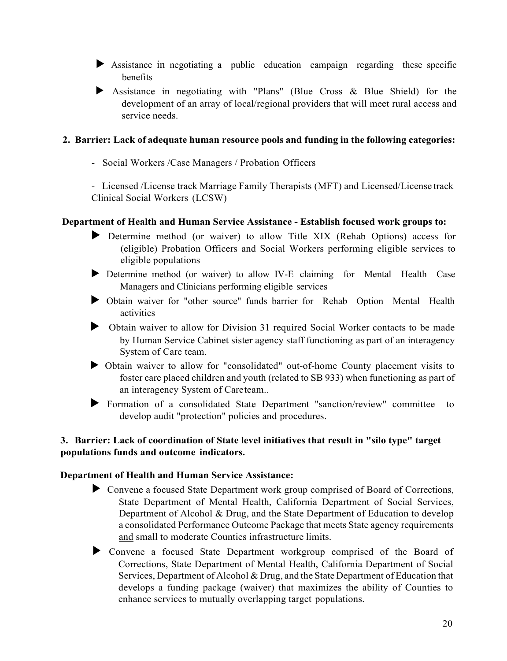- ► Assistance in negotiating a public education campaign regarding these specific benefits
- ► Assistance in negotiating with "Plans" (Blue Cross & Blue Shield) for the development of an array of local/regional providers that will meet rural access and service needs.

#### **2. Barrier: Lack of adequate human resource pools and funding in the following categories:**

- Social Workers /Case Managers / Probation Officers

 - Licensed /License track Marriage Family Therapists (MFT) and Licensed/License track Clinical Social Workers (LCSW)

#### **Department of Health and Human Service Assistance - Establish focused work groups to:**

- ► Determine method (or waiver) to allow Title XIX (Rehab Options) access for (eligible) Probation Officers and Social Workers performing eligible services to eligible populations
- Managers and Clinicians performing eligible services ► Determine method (or waiver) to allow IV-E claiming for Mental Health Case
- ► Obtain waiver for "other source" funds barrier for Rehab Option Mental Health activities
- ► Obtain waiver to allow for Division 31 required Social Worker contacts to be made by Human Service Cabinet sister agency staff functioning as part of an interagency System of Care team.
- ► Obtain waiver to allow for "consolidated" out-of-home County placement visits to foster care placed children and youth (related to SB 933) when functioning as part of an interagency System of Careteam..
- ► Formation of a consolidated State Department ''sanction/review" committee to develop audit "protection" policies and procedures.

# **3. Barrier: Lack of coordination of State level initiatives that result in "silo type" target populations funds and outcome indicators.**

#### **Department of Health and Human Service Assistance:**

- Department of Alcohol & Drug, and the State Department of Education to develop a consolidated Performance Outcome Package that meets State agency requirements and small to moderate Counties infrastructure limits. ► Convene a focused State Department work group comprised of Board of Corrections, State Department of Mental Health, California Department of Social Services,
- ► Convene a focused State Department workgroup comprised of the Board of Corrections, State Department of Mental Health, California Department of Social Services, Department of Alcohol & Drug, and the State Department of Education that develops a funding package (waiver) that maximizes the ability of Counties to enhance services to mutually overlapping target populations.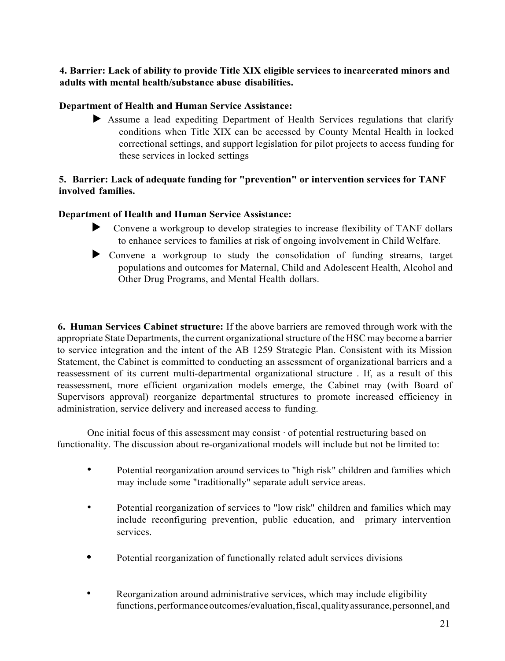### **4. Barrier: Lack of ability to provide Title XIX eligible services to incarcerated minors and adults with mental health/substance abuse disabilities.**

# **Department of Health and Human Service Assistance:**

 ► Assume a lead expediting Department of Health Services regulations that clarify conditions when Title XIX can be accessed by County Mental Health in locked correctional settings, and support legislation for pilot projects to access funding for these services in locked settings

# **5. Barrier: Lack of adequate funding for "prevention" or intervention services for TANF involved families.**

# **Department of Health and Human Service Assistance:**

- ► Convene a workgroup to develop strategies to increase flexibility of TANF dollars to enhance services to families at risk of ongoing involvement in Child Welfare.
- populations and outcomes for Maternal, Child and Adolescent Health, Alcohol and ► Convene a workgroup to study the consolidation of funding streams, target Other Drug Programs, and Mental Health dollars.

 **6. Human Services Cabinet structure:** If the above barriers are removed through work with the appropriate State Departments, the current organizational structure of the HSC may become a barrier to service integration and the intent of the AB 1259 Strategic Plan. Consistent with its Mission Statement, the Cabinet is committed to conducting an assessment of organizational barriers and a reassessment of its current multi-departmental organizational structure . If, as a result of this reassessment, more efficient organization models emerge, the Cabinet may (with Board of Supervisors approval) reorganize departmental structures to promote increased efficiency in administration, service delivery and increased access to funding.

 One initial focus of this assessment may consist · of potential restructuring based on functionality. The discussion about re-organizational models will include but not be limited to:

- Potential reorganization around services to "high risk" children and families which may include some "traditionally" separate adult service areas.
- • Potential reorganization of services to "low risk" children and families which may include reconfiguring prevention, public education, and primary intervention services.
- Potential reorganization of functionally related adult services divisions
- functions,performanceoutcomes/evaluation,fiscal,qualityassurance,personnel, and • Reorganization around administrative services, which may include eligibility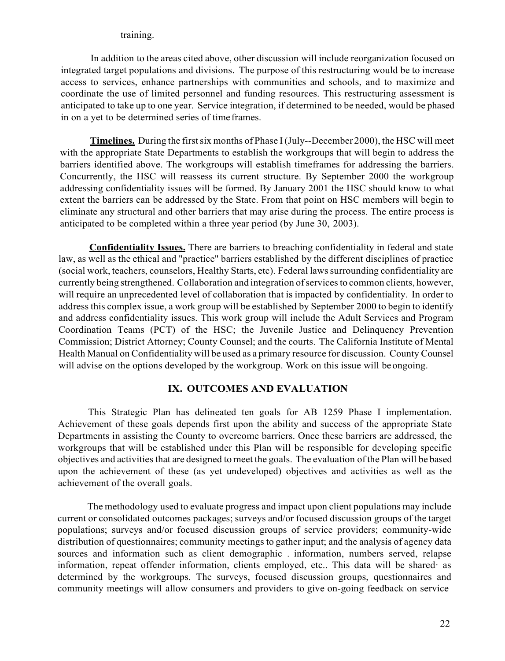#### training.

 In addition to the areas cited above, other discussion will include reorganization focused on integrated target populations and divisions. The purpose of this restructuring would be to increase access to services, enhance partnerships with communities and schools, and to maximize and coordinate the use of limited personnel and funding resources. This restructuring assessment is anticipated to take up to one year. Service integration, if determined to be needed, would be phased in on a yet to be determined series of time frames.

 **Timelines.** During the first six months of Phase I (July--December 2000), the HSC will meet with the appropriate State Departments to establish the workgroups that will begin to address the barriers identified above. The workgroups will establish timeframes for addressing the barriers. Concurrently, the HSC will reassess its current structure. By September 2000 the workgroup addressing confidentiality issues will be formed. By January 2001 the HSC should know to what extent the barriers can be addressed by the State. From that point on HSC members will begin to anticipated to be completed within a three year period (by June 30, 2003). eliminate any structural and other barriers that may arise during the process. The entire process is

 law, as well as the ethical and "practice" barriers established by the different disciplines of practice (social work, teachers, counselors, Healthy Starts, etc). Federal laws surrounding confidentiality are currently being strengthened. Collaboration and integration of services to common clients, however, will require an unprecedented level of collaboration that is impacted by confidentiality. In order to address this complex issue, a work group will be established by September 2000 to begin to identify and address confidentiality issues. This work group will include the Adult Services and Program Coordination Teams (PCT) of the HSC; the Juvenile Justice and Delinquency Prevention Commission; District Attorney; County Counsel; and the courts. The California Institute of Mental Health Manual on Confidentiality will be used as a primary resource for discussion. County Counsel will advise on the options developed by the workgroup. Work on this issue will beongoing. **Confidentiality Issues.** There are barriers to breaching confidentiality in federal and state

# **IX. OUTCOMES AND EVALUATION**

<span id="page-23-0"></span> This Strategic Plan has delineated ten goals for AB 1259 Phase I implementation. Achievement of these goals depends first upon the ability and success of the appropriate State workgroups that will be established under this Plan will be responsible for developing specific objectives and activities that are designed to meet the goals. The evaluation of the Plan will be based upon the achievement of these (as yet undeveloped) objectives and activities as well as the Departments in assisting the County to overcome barriers. Once these barriers are addressed, the achievement of the overall goals.

 The methodology used to evaluate progress and impact upon client populations may include current or consolidated outcomes packages; surveys and/or focused discussion groups of the target distribution of questionnaires; community meetings to gather input; and the analysis of agency data sources and information such as client demographic . information, numbers served, relapse information, repeat offender information, clients employed, etc.. This data will be shared· as determined by the workgroups. The surveys, focused discussion groups, questionnaires and community meetings will allow consumers and providers to give on-going feedback on service populations; surveys and/or focused discussion groups of service providers; community-wide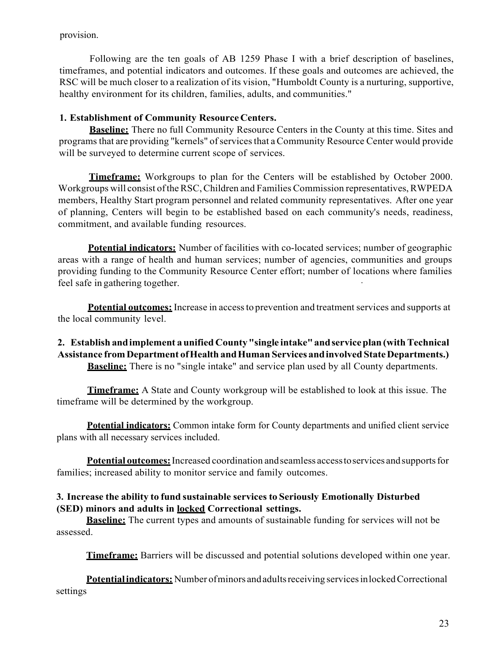provision.

 Following are the ten goals of AB 1259 Phase I with a brief description of baselines, timeframes, and potential indicators and outcomes. If these goals and outcomes are achieved, the RSC will be much closer to a realization of its vision, "Humboldt County is a nurturing, supportive, healthy environment for its children, families, adults, and communities."

# **1. Establishment of Community Resource Centers.**

 **Baseline:** There no full Community Resource Centers in the County at this time. Sites and programs that are providing "kernels" of services that a Community Resource Center would provide will be surveyed to determine current scope of services.

 **Timeframe:** Workgroups to plan for the Centers will be established by October 2000. Workgroups will consist of the RSC, Children and Families Commission representatives, RWPEDA members, Healthy Start program personnel and related community representatives. After one year of planning, Centers will begin to be established based on each community's needs, readiness, commitment, and available funding resources.

**Potential indicators:** Number of facilities with co-located services; number of geographic areas with a range of health and human services; number of agencies, communities and groups providing funding to the Community Resource Center effort; number of locations where families feel safe in gathering together. *i* is the same of the same of the same of the same of the same of the same of the same of the same of the same of the same of the same of the same of the same of the same of the same of

 **Potential outcomes:** Increase in access to prevention and treatment services and supports at the local community level.

# **2. Establish andimplement a unified County "single intake"andserviceplan (withTechnical Assistance from Department ofHealth andHuman Services andinvolved State Departments.) Baseline:** There is no "single intake" and service plan used by all County departments.

 **Timeframe:** A State and County workgroup will be established to look at this issue. The timeframe will be determined by the workgroup.

**Potential indicators:** Common intake form for County departments and unified client service plans with all necessary services included.

 **Potential outcomes:** Increased coordination andseamless accesstoservices andsupports for families; increased ability to monitor service and family outcomes.

#### **3. Increase the ability to fund sustainable services to Seriously Emotionally Disturbed (SED) minors and adults in locked Correctional settings.**

**Baseline:** The current types and amounts of sustainable funding for services will not be assessed.

**Timeframe:** Barriers will be discussed and potential solutions developed within one year.

 **Potentialindicators:** Number ofminors andadultsreceiving servicesinlocked Correctional settings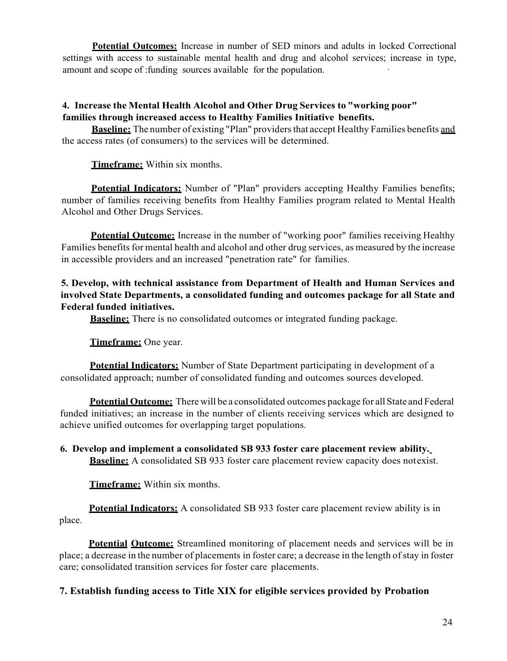amount and scope of :funding sources available for the population. **Potential Outcomes:** Increase in number of SED minors and adults in locked Correctional settings with access to sustainable mental health and drug and alcohol services; increase in type,

# **4. Increase the Mental Health Alcohol and Other Drug Services to "working poor" families through increased access to Healthy Families Initiative benefits.**

 **Baseline:** The number of existing "Plan" providers that accept Healthy Families benefits and the access rates (of consumers) to the services will be determined.

**Timeframe:** Within six months.

 **Potential Indicators:** Number of "Plan" providers accepting Healthy Families benefits; number of families receiving benefits from Healthy Families program related to Mental Health Alcohol and Other Drugs Services.

 Families benefits for mental health and alcohol and other drug services, as measured by the increase in accessible providers and an increased "penetration rate" for families. **Potential Outcome:** Increase in the number of "working poor" families receiving Healthy

# **5. Develop, with technical assistance from Department of Health and Human Services and involved State Departments, a consolidated funding and outcomes package for all State and Federal funded initiatives.**

**Baseline:** There is no consolidated outcomes or integrated funding package.

**Timeframe:** One year.

 consolidated approach; number of consolidated funding and outcomes sources developed. **Potential Indicators:** Number of State Department participating in development of a

 **Potential Outcome:** There will be a consolidated outcomes package for all State and Federal funded initiatives; an increase in the number of clients receiving services which are designed to achieve unified outcomes for overlapping target populations.

 **Baseline:** A consolidated SB 933 foster care placement review capacity does notexist. **6. Develop and implement a consolidated SB 933 foster care placement review ability.** 

**Timeframe:** Within six months.

**Potential Indicators:** A consolidated SB 933 foster care placement review ability is in place.

Potential **Outcome:** Streamlined monitoring of placement needs and services will be in place; a decrease in the number of placements in foster care; a decrease in the length of stay in foster care; consolidated transition services for foster care placements.

**7. Establish funding access to Title XIX for eligible services provided by Probation**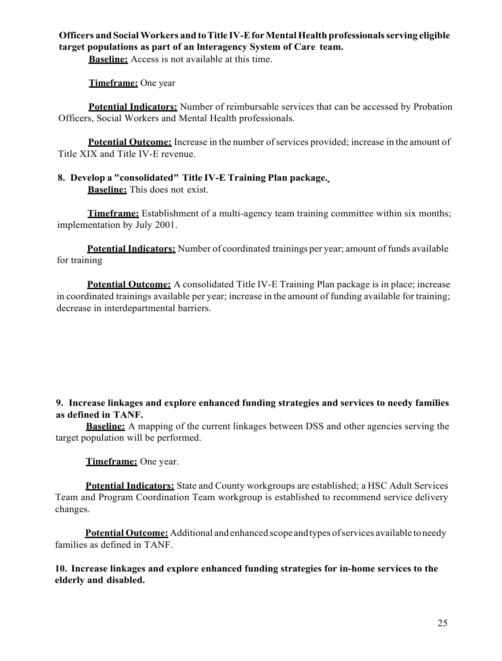### **Officers and Social Workers and toTitle IV-Efor Mental Health professionals serving eligible target populations as part of an lnteragency System of Care team.**

**Baseline:** Access is not available at this time.

**Timeframe:** One year

 **Potential Indicators:** Number of reimbursable services that can be accessed by Probation Officers, Social Workers and Mental Health professionals.

Potential Outcome: Increase in the number of services provided; increase in the amount of Title XIX and Title IV-E revenue.

### **8. Develop a "consolidated" Title IV-E Training Plan package. Baseline:** This does not exist.

**Timeframe:** Establishment of a multi-agency team training committee within six months; implementation by July 2001.

 **Potential Indicators:** Number of coordinated trainings per year; amount of funds available for training

 **Potential Outcome:** A consolidated Title IV-E Training Plan package is in place; increase in coordinated trainings available per year; increase in the amount of funding available for training; decrease in interdepartmental barriers.

# **9. Increase linkages and explore enhanced funding strategies and services to needy families as defined in TANF.**

 **Baseline:** A mapping of the current linkages between DSS and other agencies serving the target population will be performed.

**Timeframe:** One year.

 **Potential Indicators:** State and County workgroups are established; a HSC Adult Services Team and Program Coordination Team workgroup is established to recommend service delivery changes.

 **Potential Outcome:** Additional and enhanced scope andtypes ofservices available toneedy families as defined in TANF.

**10. Increase linkages and explore enhanced funding strategies for in-home services to the elderly and disabled.**